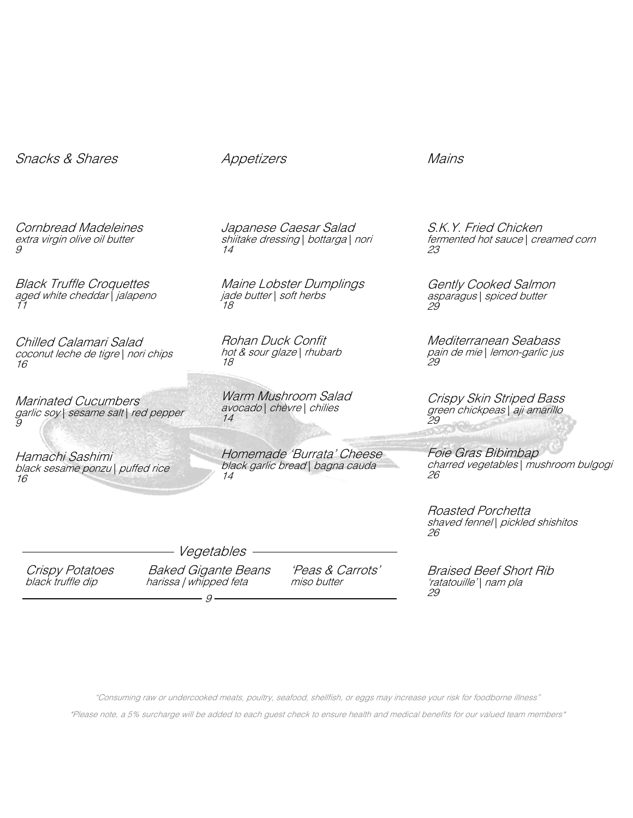# Snacks & Shares

Appetizers

Japanese Caesar Salad shiitake dressing | bottarga | nori 14

Maine Lobster Dumplings jade butter | soft herbs 18

Rohan Duck Confit hot & sour glaze | rhubarb 18

Warm Mushroom Salad avocado | chèvre | chilies 14

Homemade 'Burrata' Cheese

Mains

S.K.Y. Fried Chicken fermented hot sauce | creamed corn 23

Gently Cooked Salmon asparagus | spiced butter 29

Mediterranean Seabass pain de mie | lemon-garlic jus 29

Crispy Skin Striped Bass green chickpeas | aji amarillo 29

Foie Gras Bibimbap charred vegetables | mushroom bulgogi 26

Roasted Porchetta shaved fennel | pickled shishitos 26

Braised Beef Short Rib 'ratatouille'| nam pla<br>29

"Consuming raw or undercooked meats, poultry, seafood, shellfish, or eggs may increase your risk for foodborne illness"

\*Please note, a 5% surcharge will be added to each guest check to ensure health and medical benefits for our valued team members\*

extra virgin olive oil butter 9

Cornbread Madeleines

Black Truffle Croquettes aged white cheddar | jalapeno 11

Chilled Calamari Salad coconut leche de tigre | nori chips 16

Marinated Cucumbers garlic soy | sesame salt | red pepper 9

Hamachi Sashimi black sesame ponzu | puffed rice 16

black garlic bread | bagna cauda 14

Crispy Potatoes Baked Gigante Beans 'Peas & Carrots'<br>black truffle dip harissa | whipped feta miso butter harissa | whipped feta

Vegetables

 $\sim$  9  $\sim$  9  $\sim$  9  $\sim$  9  $\sim$  9  $\sim$  9  $\sim$  9  $\sim$  9  $\sim$  9  $\sim$  9  $\sim$  9  $\sim$  9  $\sim$  9  $\sim$  9  $\sim$  9  $\sim$  9  $\sim$  9  $\sim$  9  $\sim$  9  $\sim$  9  $\sim$  9  $\sim$  9  $\sim$  9  $\sim$  9  $\sim$  9  $\sim$  9  $\sim$  9  $\sim$  9  $\sim$  9  $\sim$  9  $\sim$  9  $\sim$